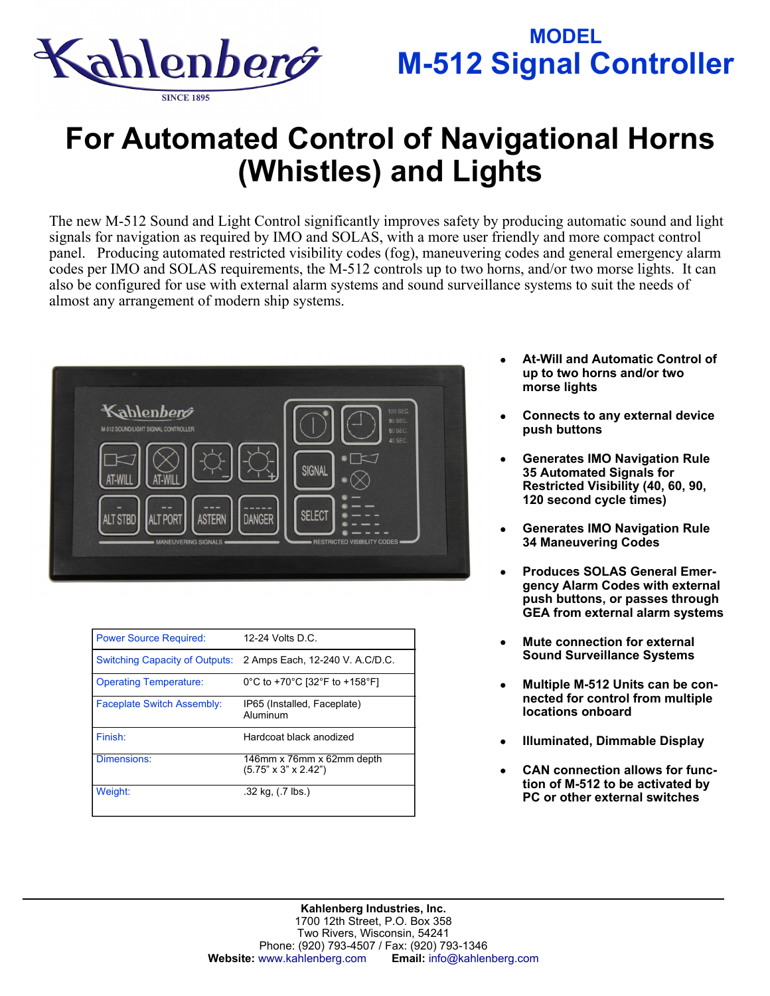

## **MODEL M-512 Signal Controller**

## **For Automated Control of Navigational Horns (Whistles) and Lights**

The new M-512 Sound and Light Control significantly improves safety by producing automatic sound and light signals for navigation as required by IMO and SOLAS, with a more user friendly and more compact control panel. Producing automated restricted visibility codes (fog), maneuvering codes and general emergency alarm codes per IMO and SOLAS requirements, the M-512 controls up to two horns, and/or two morse lights. It can also be configured for use with external alarm systems and sound surveillance systems to suit the needs of almost any arrangement of modern ship systems.



| <b>Power Source Required:</b>         | 12-24 Volts D.C.                                              |
|---------------------------------------|---------------------------------------------------------------|
| <b>Switching Capacity of Outputs:</b> | 2 Amps Each, 12-240 V. A.C/D.C.                               |
| <b>Operating Temperature:</b>         | 0°C to +70°C [32°F to +158°F]                                 |
| <b>Faceplate Switch Assembly:</b>     | IP65 (Installed, Faceplate)<br>Aluminum                       |
| Finish:                               | Hardcoat black anodized                                       |
| Dimensions:                           | 146mm x 76mm x 62mm depth<br>$(5.75" \times 3" \times 2.42")$ |
| Weight:                               | .32 kg. (.7 lbs.)                                             |

- **At-Will and Automatic Control of up to two horns and/or two morse lights**
- **Connects to any external device push buttons**
- **Generates IMO Navigation Rule 35 Automated Signals for Restricted Visibility (40, 60, 90, 120 second cycle times)**
- **Generates IMO Navigation Rule 34 Maneuvering Codes**
- **Produces SOLAS General Emergency Alarm Codes with external push buttons, or passes through GEA from external alarm systems**
- **Mute connection for external Sound Surveillance Systems**
- **Multiple M-512 Units can be connected for control from multiple locations onboard**
- **Illuminated, Dimmable Display**
- **CAN connection allows for function of M-512 to be activated by PC or other external switches**